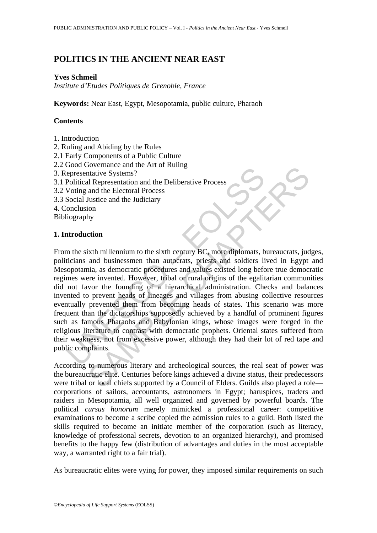# **POLITICS IN THE ANCIENT NEAR EAST**

#### **Yves Schmeil**

*Institute d'Etudes Politiques de Grenoble, France* 

**Keywords:** Near East, Egypt, Mesopotamia, public culture, Pharaoh

#### **Contents**

- 1. Introduction
- 2. Ruling and Abiding by the Rules
- 2.1 Early Components of a Public Culture
- 2.2 Good Governance and the Art of Ruling
- 3. Representative Systems?
- 3.1 Political Representation and the Deliberative Process
- 3.2 Voting and the Electoral Process
- 3.3 Social Justice and the Judiciary
- 4. Conclusion

Bibliography

#### **1. Introduction**

Social Sustainable and He Deliberative Process<br>
Persentative Systems?<br>
Political Representation and the Deliberative Process<br>
Social Justice and the Judiciary<br>
Social Justice and the Judiciary<br>
onclusion<br>
Interduction<br>
In Sovemance and the Heliotaric and the Deliberative Process<br>
and the Electoral Process<br>
and the Electoral Process<br>
and the Electoral Process<br>
and the Electoral Process<br>
and the Electoral Process<br>
in and businesmen than autoc From the sixth millennium to the sixth century BC, more diplomats, bureaucrats, judges, politicians and businessmen than autocrats, priests and soldiers lived in Egypt and Mesopotamia, as democratic procedures and values existed long before true democratic regimes were invented. However, tribal or rural origins of the egalitarian communities did not favor the founding of a hierarchical administration. Checks and balances invented to prevent heads of lineages and villages from abusing collective resources eventually prevented them from becoming heads of states. This scenario was more frequent than the dictatorships supposedly achieved by a handful of prominent figures such as famous Pharaohs and Babylonian kings, whose images were forged in the religious literature to contrast with democratic prophets. Oriental states suffered from their weakness, not from excessive power, although they had their lot of red tape and public complaints.

According to numerous literary and archeological sources, the real seat of power was the bureaucratic elite. Centuries before kings achieved a divine status, their predecessors were tribal or local chiefs supported by a Council of Elders. Guilds also played a role corporations of sailors, accountants, astronomers in Egypt; haruspices, traders and raiders in Mesopotamia, all well organized and governed by powerful boards. The political *cursus honorum* merely mimicked a professional career: competitive examinations to become a scribe copied the admission rules to a guild. Both listed the skills required to become an initiate member of the corporation (such as literacy, knowledge of professional secrets, devotion to an organized hierarchy), and promised benefits to the happy few (distribution of advantages and duties in the most acceptable way, a warranted right to a fair trial).

As bureaucratic elites were vying for power, they imposed similar requirements on such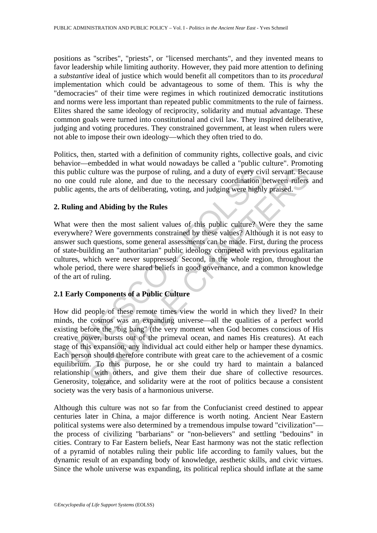positions as "scribes", "priests", or "licensed merchants", and they invented means to favor leadership while limiting authority. However, they paid more attention to defining a *substantive* ideal of justice which would benefit all competitors than to its *procedural* implementation which could be advantageous to some of them. This is why the "democracies" of their time were regimes in which routinized democratic institutions and norms were less important than repeated public commitments to the rule of fairness. Elites shared the same ideology of reciprocity, solidarity and mutual advantage. These common goals were turned into constitutional and civil law. They inspired deliberative, judging and voting procedures. They constrained government, at least when rulers were not able to impose their own ideology—which they often tried to do.

Politics, then, started with a definition of community rights, collective goals, and civic behavior—embedded in what would nowadays be called a "public culture". Promoting this public culture was the purpose of ruling, and a duty of every civil servant. Because no one could rule alone, and due to the necessary coordination between rulers and public agents, the arts of deliberating, voting, and judging were highly praised.

# **2. Ruling and Abiding by the Rules**

public culture was the purpose of ruling, and a duty of every civ-<br>one could rule alone, and due to the necessary coordination b<br>lic agents, the arts of deliberating, voting, and judging were highly<br>**ulling and Abiding by** What were then the most salient values of this public culture? Were they the same everywhere? Were governments constrained by these values? Although it is not easy to answer such questions, some general assessments can be made. First, during the process of state-building an "authoritarian" public ideology competed with previous egalitarian cultures, which were never suppressed. Second, in the whole region, throughout the whole period, there were shared beliefs in good governance, and a common knowledge of the art of ruling.

# **2.1 Early Components of a Public Culture**

culture was the purpose of ruling, and a duty of every civil servant. Because culture was the purpose of ruling, and a duty of every civil servant. Because the reduction between rulers to the increase the most salient valu How did people of these remote times view the world in which they lived? In their minds, the cosmos was an expanding universe—all the qualities of a perfect world existing before the "big bang" (the very moment when God becomes conscious of His creative power, bursts out of the primeval ocean, and names His creatures). At each stage of this expansion, any individual act could either help or hamper these dynamics. Each person should therefore contribute with great care to the achievement of a cosmic equilibrium. To this purpose, he or she could try hard to maintain a balanced relationship with others, and give them their due share of collective resources. Generosity, tolerance, and solidarity were at the root of politics because a consistent society was the very basis of a harmonious universe.

Although this culture was not so far from the Confucianist creed destined to appear centuries later in China, a major difference is worth noting. Ancient Near Eastern political systems were also determined by a tremendous impulse toward "civilization" the process of civilizing "barbarians" or "non-believers" and settling "bedouins" in cities. Contrary to Far Eastern beliefs, Near East harmony was not the static reflection of a pyramid of notables ruling their public life according to family values, but the dynamic result of an expanding body of knowledge, aesthetic skills, and civic virtues. Since the whole universe was expanding, its political replica should inflate at the same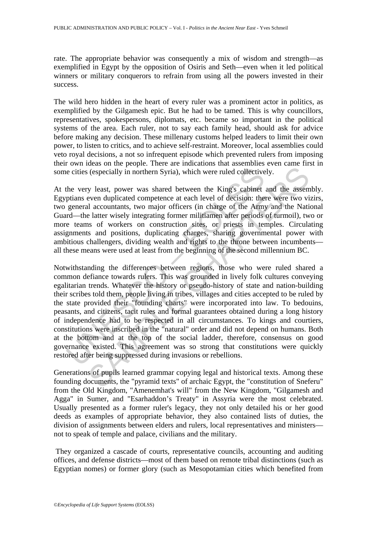rate. The appropriate behavior was consequently a mix of wisdom and strength—as exemplified in Egypt by the opposition of Osiris and Seth—even when it led political winners or military conquerors to refrain from using all the powers invested in their success.

The wild hero hidden in the heart of every ruler was a prominent actor in politics, as exemplified by the Gilgamesh epic. But he had to be tamed. This is why councillors, representatives, spokespersons, diplomats, etc. became so important in the political systems of the area. Each ruler, not to say each family head, should ask for advice before making any decision. These millenary customs helped leaders to limit their own power, to listen to critics, and to achieve self-restraint. Moreover, local assemblies could veto royal decisions, a not so infrequent episode which prevented rulers from imposing their own ideas on the people. There are indications that assemblies even came first in some cities (especially in northern Syria), which were ruled collectively.

At the very least, power was shared between the King's cabinet and the assembly. Egyptians even duplicated competence at each level of decision: there were two vizirs, two general accountants, two major officers (in charge of the Army and the National Guard—the latter wisely integrating former militiamen after periods of turmoil), two or more teams of workers on construction sites, or priests in temples. Circulating assignments and positions, duplicating charges, sharing governmental power with ambitious challengers, dividing wealth and rights to the throne between incumbents all these means were used at least from the beginning of the second millennium BC.

is ecities (especially in northern Syria), which were ruled collective<br>the very least, power was shared between the King's cabinet<br>ptians even duplicated competence at each level of decision: the<br>general accountants, two m (especially in northern Syria), which were ruled collectively.<br>
y least, power was shared between the King's cabinet and the assem-<br>
even duplicated competence at each level of decision: there were two vi<br>
accountants, two Notwithstanding the differences between regions, those who were ruled shared a common defiance towards rulers. This was grounded in lively folk cultures conveying egalitarian trends. Whatever the history or pseudo-history of state and nation-building their scribes told them, people living in tribes, villages and cities accepted to be ruled by the state provided their "founding charts" were incorporated into law. To bedouins, peasants, and citizens, tacit rules and formal guarantees obtained during a long history of independence had to be respected in all circumstances. To kings and courtiers, constitutions were inscribed in the "natural" order and did not depend on humans. Both at the bottom and at the top of the social ladder, therefore, consensus on good governance existed. This agreement was so strong that constitutions were quickly restored after being suppressed during invasions or rebellions.

Generations of pupils learned grammar copying legal and historical texts. Among these founding documents, the "pyramid texts" of archaic Egypt, the "constitution of Sneferu" from the Old Kingdom, "Amenemhat's will" from the New Kingdom, "Gilgamesh and Agga" in Sumer, and "Esarhaddon's Treaty" in Assyria were the most celebrated. Usually presented as a former ruler's legacy, they not only detailed his or her good deeds as examples of appropriate behavior, they also contained lists of duties, the division of assignments between elders and rulers, local representatives and ministers not to speak of temple and palace, civilians and the military.

 They organized a cascade of courts, representative councils, accounting and auditing offices, and defense districts—most of them based on remote tribal distinctions (such as Egyptian nomes) or former glory (such as Mesopotamian cities which benefited from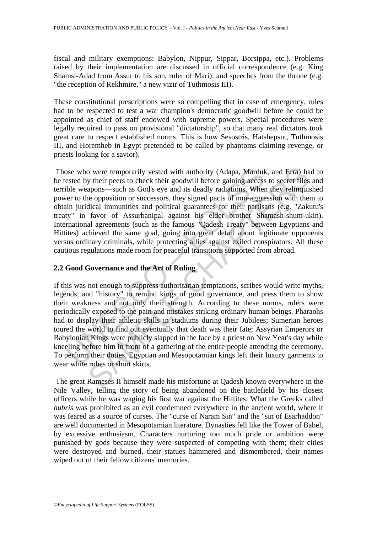fiscal and military exemptions: Babylon, Nippur, Sippar, Borsippa, etc.). Problems raised by their implementation are discussed in official correspondence (e.g. King Shamsi-Adad from Assur to his son, ruler of Mari), and speeches from the throne (e.g. "the reception of Rekhmire," a new vizir of Tuthmosis III).

These constitutional prescriptions were so compelling that in case of emergency, rules had to be respected to test a war champion's democratic goodwill before he could be appointed as chief of staff endowed with supreme powers. Special procedures were legally required to pass on provisional "dictatorship", so that many real dictators took great care to respect established norms. This is how Sesostris, Hatshepsut, Tuthmosis III, and Horemheb in Egypt pretended to be called by phantoms claiming revenge, or priests looking for a savior).

by their persons who were temporarily vested with authority (Adapa, Marduk<br>steed by their peers to check their goodwill before gaining access<br>ble weapons—such as God's eye and its deadly radiations. Where<br>r to the oppositi o were temporarily vested with authority (Adapa, Marduk, and Erra) has their pers to check their goodwill before gaining access to secret files apons—such as God's eye and its dealdy radiations. When they relinquise are op Those who were temporarily vested with authority (Adapa, Marduk, and Erra) had to be tested by their peers to check their goodwill before gaining access to secret files and terrible weapons—such as God's eye and its deadly radiations. When they relinquished power to the opposition or successors, they signed pacts of non-aggression with them to obtain juridical immunities and political guarantees for their partisans (e.g. "Zakutu's treaty" in favor of Assurbanipal against his elder brother Shamash-shum-ukin). International agreements (such as the famous "Qadesh Treaty" between Egyptians and Hittites) achieved the same goal, going into great detail about legitimate opponents versus ordinary criminals, while protecting allies against exiled conspirators. All these cautious regulations made room for peaceful transitions supported from abroad.

# **2.2 Good Governance and the Art of Ruling**

If this was not enough to suppress authoritarian temptations, scribes would write myths, legends, and "history" to remind kings of good governance, and press them to show their weakness and not only their strength. According to these norms, rulers were periodically exposed to the pain and mistakes striking ordinary human beings. Pharaohs had to display their athletic skills in stadiums during their Jubilees; Sumerian heroes toured the world to find out eventually that death was their fate; Assyrian Emperors or Babylonian Kings were publicly slapped in the face by a priest on New Year's day while kneeling before him in front of a gathering of the entire people attending the ceremony. To perform their duties, Egyptian and Mesopotamian kings left their luxury garments to wear white robes or short skirts.

 The great Rameses II himself made his misfortune at Qadesh known everywhere in the Nile Valley, telling the story of being abandoned on the battlefield by his closest officers while he was waging his first war against the Hittites. What the Greeks called *hubris* was prohibited as an evil condemned everywhere in the ancient world, where it was feared as a source of curses. The "curse of Naram Sin" and the "sin of Esarhaddon" are well documented in Mesopotamian literature. Dynasties fell like the Tower of Babel, by excessive enthusiasm. Characters nurturing too much pride or ambition were punished by gods because they were suspected of competing with them; their cities were destroyed and burned, their statues hammered and dismembered, their names wiped out of their fellow citizens' memories.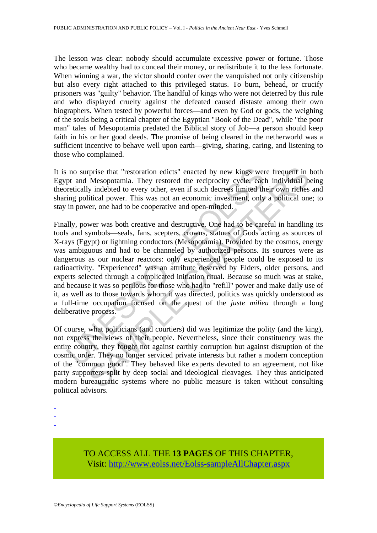The lesson was clear: nobody should accumulate excessive power or fortune. Those who became wealthy had to conceal their money, or redistribute it to the less fortunate. When winning a war, the victor should confer over the vanquished not only citizenship but also every right attached to this privileged status. To burn, behead, or crucify prisoners was "guilty" behavior. The handful of kings who were not deterred by this rule and who displayed cruelty against the defeated caused distaste among their own biographers. When tested by powerful forces—and even by God or gods, the weighing of the souls being a critical chapter of the Egyptian "Book of the Dead", while "the poor man" tales of Mesopotamia predated the Biblical story of Job—a person should keep faith in his or her good deeds. The promise of being cleared in the netherworld was a sufficient incentive to behave well upon earth—giving, sharing, caring, and listening to those who complained.

It is no surprise that "restoration edicts" enacted by new kings were frequent in both Egypt and Mesopotamia. They restored the reciprocity cycle, each individual being theoretically indebted to every other, even if such decrees limited their own riches and sharing political power. This was not an economic investment, only a political one; to stay in power, one had to be cooperative and open-minded.

is no surprise that "restoration edicts" enacted by new kings wer<br>pt and Mesopotamia. They restored the reciprocity cycle, each<br>retically indebted to every other, even if such decrees limited th<br>ing political power. This rprise that "restoration edicts" enacted by new kings were frequent in Mesopotamia. They restored the reciprocity cycle, each individual by indebted to every other, even if such decress limited their own riches liftical po Finally, power was both creative and destructive. One had to be careful in handling its tools and symbols—seals, fans, scepters, crowns, statues of Gods acting as sources of X-rays (Egypt) or lightning conductors (Mesopotamia). Provided by the cosmos, energy was ambiguous and had to be channeled by authorized persons. Its sources were as dangerous as our nuclear reactors: only experienced people could be exposed to its radioactivity. "Experienced" was an attribute deserved by Elders, older persons, and experts selected through a complicated initiation ritual. Because so much was at stake, and because it was so perilous for those who had to "refill" power and make daily use of it, as well as to those towards whom it was directed, politics was quickly understood as a full-time occupation focused on the quest of the *juste milieu* through a long deliberative process.

Of course, what politicians (and courtiers) did was legitimize the polity (and the king), not express the views of their people. Nevertheless, since their constituency was the entire country, they fought not against earthly corruption but against disruption of the cosmic order. They no longer serviced private interests but rather a modern conception of the "common good". They behaved like experts devoted to an agreement, not like party supporters split by deep social and ideological cleavages. They thus anticipated modern bureaucratic systems where no public measure is taken without consulting political advisors.

- -
- -
- -

TO ACCESS ALL THE **13 PAGES** OF THIS CHAPTER, Visit: [http://www.eolss.net/Eolss-sampleAllChapter.aspx](https://www.eolss.net/ebooklib/sc_cart.aspx?File=E1-34-02-03)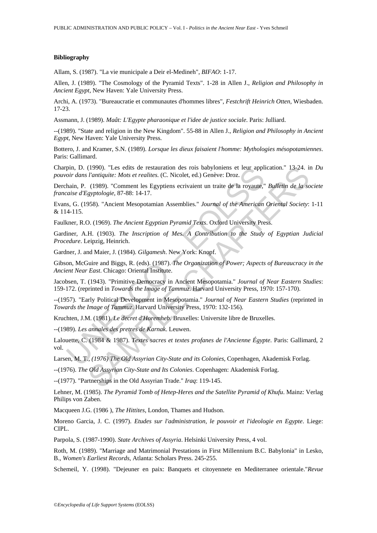#### **Bibliography**

Allam, S. (1987). "La vie municipale a Deir el-Medineh", *BIFAO*: 1-17.

Allen, J. (1989). "The Cosmology of the Pyramid Texts". 1-28 in Allen J., *Religion and Philosophy in Ancient Egypt*, New Haven: Yale University Press.

Archi, A. (1973). "Bureaucratie et communautes d'hommes libres", *Festchrift Heinrich Otten*, Wiesbaden. 17-23.

Assmann, J. (1989). *Maât: L'Egypte pharaonique et l'idee de justice sociale*. Paris: Julliard.

--(1989). "State and religion in the New Kingdom". 55-88 in Allen J., *Religion and Philosophy in Ancient Egypt*, New Haven: Yale University Press.

Bottero, J. and Kramer, S.N. (1989). *Lorsque les dieux faisaient l'homme: Mythologies mésopotamiennes*. Paris: Gallimard.

Charpin, D. (1990). "Les edits de restauration des rois babyloniens et leur application." 13-24. in *Du pouvoir dans l'antiquite: Mots et realites*. (C. Nicolet, ed.) Genève: Droz.

Derchain, P. (1989). "Comment les Egyptiens ecrivaient un traite de la royaute," *Bulletin de la societe francaise d'Egyptologie*, 87-88: 14-17.

Evans, G. (1958). "Ancient Mesopotamian Assemblies." *Journal of the American Oriental Society*: 1-11 & 114-115.

Faulkner, R.O. (1969). *The Ancient Egyptian Pyramid Texts*. Oxford University Press.

Gardiner, A.H. (1903). *The Inscription of Mes. A Contribution to the Study of Egyptian Judicial Procedure*. Leipzig, Heinrich.

Gardner, J. and Maier, J. (1984). *Gilgamesh*. New York: Knopf.

pin, D. (1990). "Les edits de restauration des rois babyloniens et leur appli<br>
oir dans l'antiquite: Mots et realites. (C. Nicolet, ed.) Genève: Droz.<br>
hain, P. (1989). "Comment les Egyptiens ecrivaient un traite de la ro (1990). "Les edits de restauration des rois babyloniens et leur application." 13-24. in  $l$  and  $q$  is estimation des rois babyloniens et leur application." *Chargentian Mosen tradition*. The computer (1989). "Comment les Gibson, McGuire and Biggs, R. (eds). (1987). *The Organization of Power; Aspects of Bureaucracy in the Ancient Near East*. Chicago: Oriental Institute.

Jacobsen, T. (1943). "Primitive Democracy in Ancient Mesopotamia." *Journal of Near Eastern Studies*: 159-172. (reprinted in *Towards the Image of Tammuz*. Harvard University Press, 1970: 157-170).

--(1957). "Early Political Development in Mesopotamia." *Journal of Near Eastern Studies* (reprinted in *Towards the Image of Tammuz*. Harvard University Press, 1970: 132-156).

Kruchten, J.M. (1981). *Le decret d'Horemheb.* Bruxelles: Universite libre de Bruxelles.

--(1989). *Les annales des pretres de Karnak*. Leuwen.

Lalouette, C. (1984 & 1987). *Textes sacres et textes profanes de l'Ancienne Égypte*. Paris: Gallimard, 2 vol.

Larsen, M. T., *(1976) The Old Assyrian City-State and its Colonies,* Copenhagen, Akademisk Forlag.

--(1976). *The Old Assyrian City-State and Its Colonies*. Copenhagen: Akademisk Forlag.

--(1977). "Partnerships in the Old Assyrian Trade." *Iraq*: 119-145.

Lehner, M. (1985). *The Pyramid Tomb of Hetep-Heres and the Satellite Pyramid of Khufu*. Mainz: Verlag Philips von Zaben.

Macqueen J.G. (1986 ), *The Hittites*, London, Thames and Hudson.

Moreno Garcia, J. C. (1997). *Etudes sur l'administration, le pouvoir et l'ideologie en Egypte*. Liege: CIPL.

Parpola, S. (1987-1990). *State Archives of Assyria*. Helsinki University Press, 4 vol.

Roth, M. (1989). "Marriage and Matrimonial Prestations in First Millennium B.C. Babylonia" in Lesko, B., *Women's Earliest Records*, Atlanta: Scholars Press. 245-255.

Schemeil, Y. (1998). "Dejeuner en paix: Banquets et citoyennete en Mediterranee orientale."*Revue*